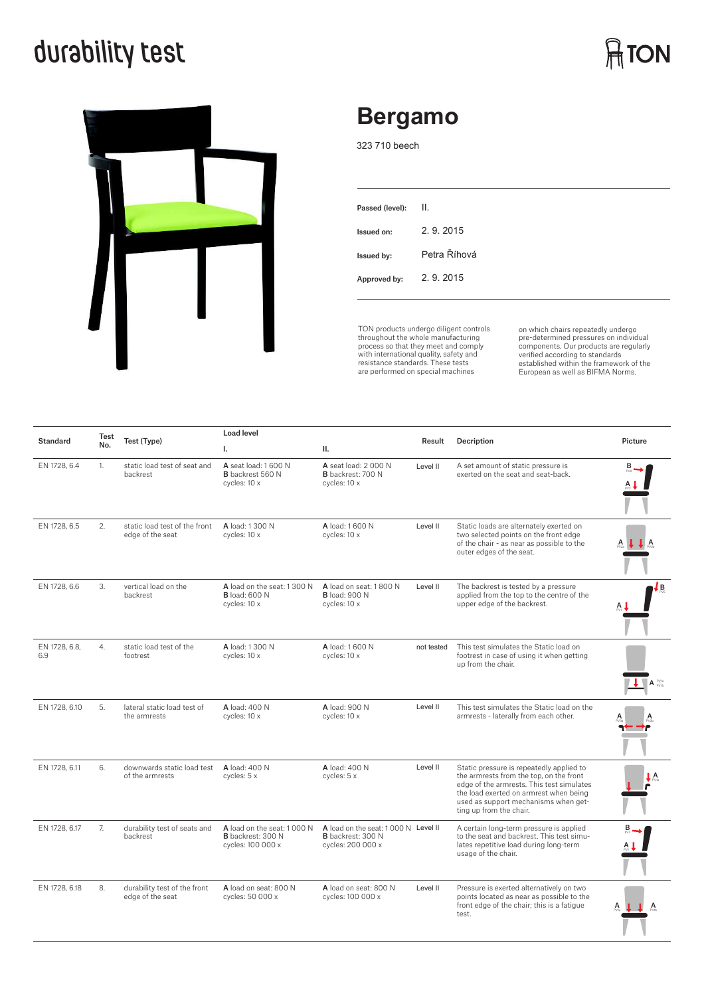## **durability test**



### **Bergamo**

323 710 beech

| Passed (level): | II.          |
|-----------------|--------------|
| Issued on:      | 2.9.2015     |
| Issued by:      | Petra Říhová |
| Approved by:    | 2.9.2015     |
|                 |              |

TON products undergo diligent controls throughout the whole manufacturing process so that they meet and comply with international quality, safety and resistance standards. These tests are performed on special machines

on which chairs repeatedly undergo pre-determined pressures on individual<br>components. Our products are regularly<br>verified according to standards<br>established within the framework of the<br>European as well as BIFMA Norms.

 $\bigcap_{n=1}^{\infty}$  TON

| <b>Standard</b>      | <b>Test</b> | Test (Type)                                       | <b>Load level</b>                                                           |                                                                                      |            |                                                                                                                                                                                                                                               |                                |
|----------------------|-------------|---------------------------------------------------|-----------------------------------------------------------------------------|--------------------------------------------------------------------------------------|------------|-----------------------------------------------------------------------------------------------------------------------------------------------------------------------------------------------------------------------------------------------|--------------------------------|
|                      | No.         |                                                   | Ι.                                                                          | н.                                                                                   | Result     | Decription                                                                                                                                                                                                                                    | Picture                        |
| EN 1728, 6.4         | 1.          | static load test of seat and<br>backrest          | A seat load: 1 600 N<br><b>B</b> backrest 560 N<br>cycles: 10 x             | A seat load: 2 000 N<br><b>B</b> backrest: 700 N<br>cycles: 10 x                     | Level II   | A set amount of static pressure is<br>exerted on the seat and seat-back.                                                                                                                                                                      | в                              |
| EN 1728, 6.5         | 2.          | static load test of the front<br>edge of the seat | A load: 1 300 N<br>cycles: 10 x                                             | A load: 1 600 N<br>cycles: 10 x                                                      | Level II   | Static loads are alternately exerted on<br>two selected points on the front edge<br>of the chair - as near as possible to the<br>outer edges of the seat.                                                                                     |                                |
| EN 1728, 6.6         | 3.          | vertical load on the<br>backrest                  | A load on the seat: 1300 N<br><b>B</b> load: 600 N<br>cycles: 10 x          | A load on seat: 1800 N<br><b>B</b> load: 900 N<br>cycles: 10 x                       | Level II   | The backrest is tested by a pressure<br>applied from the top to the centre of the<br>upper edge of the backrest.                                                                                                                              | Lв                             |
| EN 1728, 6.8,<br>6.9 | 4.          | static load test of the<br>footrest               | A load: 1 300 N<br>cycles: 10 x                                             | A load: 1 600 N<br>cycles: 10 x                                                      | not tested | This test simulates the Static load on<br>footrest in case of using it when getting<br>up from the chair.                                                                                                                                     | $A^{\text{Py}_1}_{\text{new}}$ |
| EN 1728, 6.10        | 5.          | lateral static load test of<br>the armrests       | A load: 400 N<br>cycles: 10 x                                               | A load: 900 N<br>cycles: 10 x                                                        | Level II   | This test simulates the Static load on the<br>armrests - laterally from each other.                                                                                                                                                           |                                |
| EN 1728, 6.11        | 6.          | downwards static load test<br>of the armrests     | A load: 400 N<br>cycles: 5 x                                                | A load: 400 N<br>cycles: 5 x                                                         | Level II   | Static pressure is repeatedly applied to<br>the armrests from the top, on the front<br>edge of the armrests. This test simulates<br>the load exerted on armrest when being<br>used as support mechanisms when get-<br>ting up from the chair. | A                              |
| EN 1728, 6.17        | 7.          | durability test of seats and<br>backrest          | A load on the seat: 1000 N<br><b>B</b> backrest: 300 N<br>cycles: 100 000 x | A load on the seat: 1000 N Level II<br><b>B</b> backrest: 300 N<br>cycles: 200 000 x |            | A certain long-term pressure is applied<br>to the seat and backrest. This test simu-<br>lates repetitive load during long-term<br>usage of the chair.                                                                                         |                                |
| EN 1728, 6.18        | 8.          | durability test of the front<br>edge of the seat  | A load on seat: 800 N<br>cycles: 50 000 x                                   | A load on seat: 800 N<br>cycles: 100 000 x                                           | Level II   | Pressure is exerted alternatively on two<br>points located as near as possible to the<br>front edge of the chair; this is a fatique<br>test.                                                                                                  |                                |